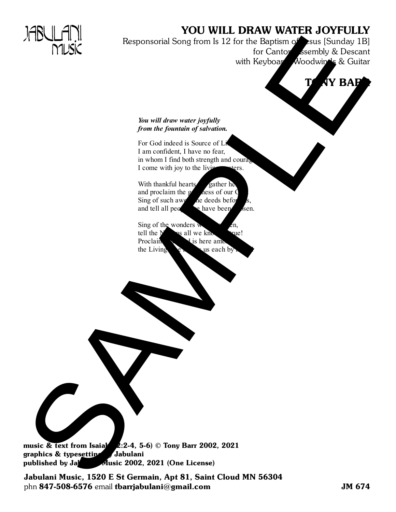### YOU WILL DRAW WATER JOYFULLY

Responsorial Song from Is 12 for the Baptism  $\bigotimes$ esus [Sunday 1B] for Canto Assembly & Descant with Keyboard, Woodwinds & Guitar THUSK the sponsorial Song from Is 12 for the sponsorial Song from Is (see Countries and the Song of Song in the Song of Song in the Song of Song in the Song of Song in the Song of Song in the Song of Song in the Song of So

# **NY BAPR**

#### *You will draw water joyfully from the fountain of salvation.*

For God indeed is Source of L I am confident, I have no fear, in whom I find both strength and coura I come with joy to the living waters.

With thankful heart  $\epsilon$  gather here and proclaim the dness of our Sing of such a  $\frac{1}{2}$  me deeds before us, and tell all people where  $\log$  chosen.

Sing of the wonders  $\bf{w}$ tell the sall we know are! Proclaim  $\mathcal{C}$  is here among us, that  $\mathcal{C}$ the Living  $\mathbf{e} \cdot \mathbf{h}$  us each by

music & text from Isaiah  $2:2-4$ , 5-6) © Tony Barr 2002, 2021 graphics & typesetting Jabulani published by  $J_{\text{max}}$  Music 2002, 2021 (One License)

Jabulani Music, 1520 E St Germain, Apt 81, Saint Cloud MN 56304 phn 847-508-6576 email tbarrjabulani@gmail.com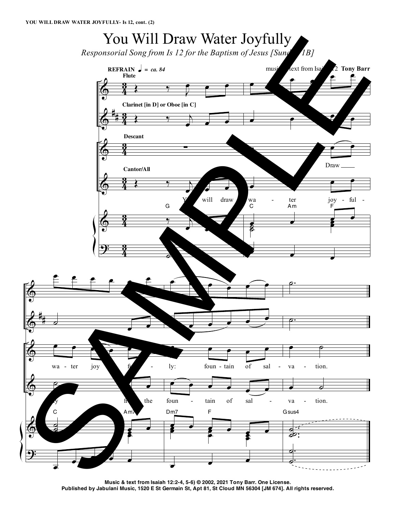## You Will Draw Water Joyfully

*Responsorial Song from Is 12 for the Baptism of Jesus [Sunday 1B]*



**Music & text from Isaiah 12:2-4, 5-6) © 2002, 2021 Tony Barr. One License.** Published by Jabulani Music, 1520 E St Germain St, Apt 81, St Cloud MN 56304 [JM 674]. All rights reserved.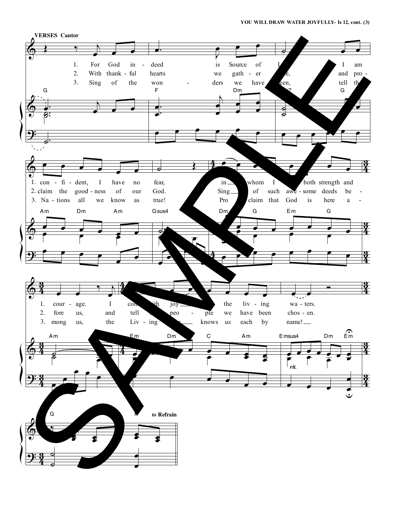